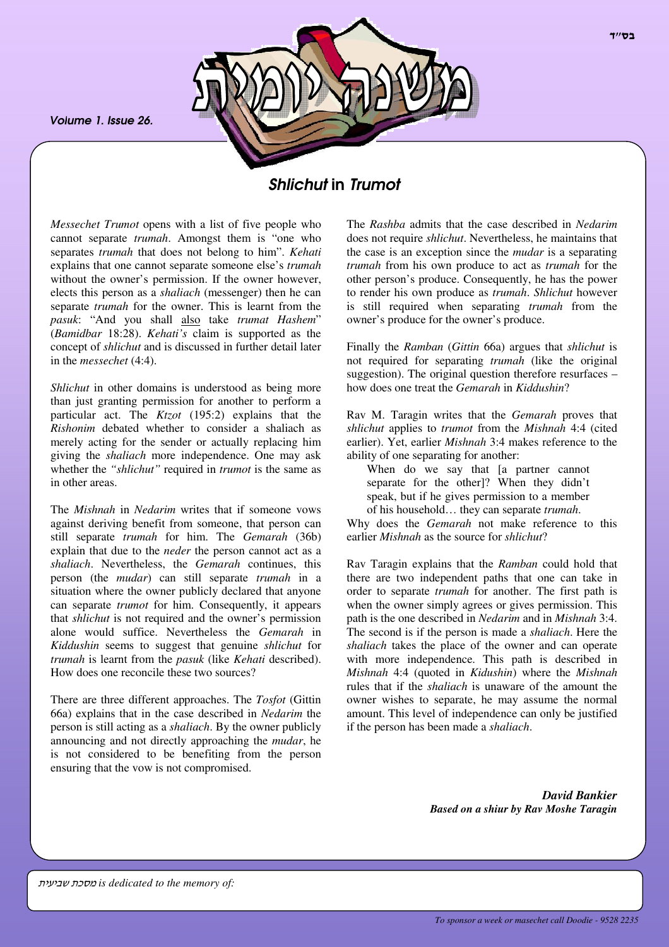*Volume 1. Issue 26.*



# *Shlichut* in *Trumot*

*Messechet Trumot* opens with a list of five people who cannot separate *trumah*. Amongst them is "one who separates *trumah* that does not belong to him". *Kehati* explains that one cannot separate someone else's *trumah* without the owner's permission. If the owner however, elects this person as a *shaliach* (messenger) then he can separate *trumah* for the owner. This is learnt from the *pasuk*: "And you shall also take *trumat Hashem*" (*Bamidbar* 18:28). *Kehati's* claim is supported as the concept of *shlichut* and is discussed in further detail later in the *messechet* (4:4).

*Shlichut* in other domains is understood as being more than just granting permission for another to perform a particular act. The *Ktzot* (195:2) explains that the *Rishonim* debated whether to consider a shaliach as merely acting for the sender or actually replacing him giving the *shaliach* more independence. One may ask whether the *"shlichut"* required in *trumot* is the same as in other areas.

The *Mishnah* in *Nedarim* writes that if someone vows against deriving benefit from someone, that person can still separate *trumah* for him. The *Gemarah* (36b) explain that due to the *neder* the person cannot act as a *shaliach*. Nevertheless, the *Gemarah* continues, this person (the *mudar*) can still separate *trumah* in a situation where the owner publicly declared that anyone can separate *trumot* for him. Consequently, it appears that *shlichut* is not required and the owner's permission alone would suffice. Nevertheless the *Gemarah* in *Kiddushin* seems to suggest that genuine *shlichut* for *trumah* is learnt from the *pasuk* (like *Kehati* described). How does one reconcile these two sources?

There are three different approaches. The *Tosfot* (Gittin 66a) explains that in the case described in *Nedarim* the person is still acting as a *shaliach*. By the owner publicly announcing and not directly approaching the *mudar*, he is not considered to be benefiting from the person ensuring that the vow is not compromised.

The *Rashba* admits that the case described in *Nedarim* does not require *shlichut*. Nevertheless, he maintains that the case is an exception since the *mudar* is a separating *trumah* from his own produce to act as *trumah* for the other person's produce. Consequently, he has the power to render his own produce as *trumah*. *Shlichut* however is still required when separating *trumah* from the owner's produce for the owner's produce.

Finally the *Ramban* (*Gittin* 66a) argues that *shlichut* is not required for separating *trumah* (like the original suggestion). The original question therefore resurfaces – how does one treat the *Gemarah* in *Kiddushin*?

Rav M. Taragin writes that the *Gemarah* proves that *shlichut* applies to *trumot* from the *Mishnah* 4:4 (cited earlier). Yet, earlier *Mishnah* 3:4 makes reference to the ability of one separating for another:

When do we say that [a partner cannot separate for the other]? When they didn't speak, but if he gives permission to a member of his household… they can separate *trumah*.

Why does the *Gemarah* not make reference to this earlier *Mishnah* as the source for *shlichut*?

Rav Taragin explains that the *Ramban* could hold that there are two independent paths that one can take in order to separate *trumah* for another. The first path is when the owner simply agrees or gives permission. This path is the one described in *Nedarim* and in *Mishnah* 3:4. The second is if the person is made a *shaliach*. Here the *shaliach* takes the place of the owner and can operate with more independence. This path is described in *Mishnah* 4:4 (quoted in *Kidushin*) where the *Mishnah* rules that if the *shaliach* is unaware of the amount the owner wishes to separate, he may assume the normal amount. This level of independence can only be justified if the person has been made a *shaliach*.

> *David Bankier Based on a shiur by Rav Moshe Taragin*